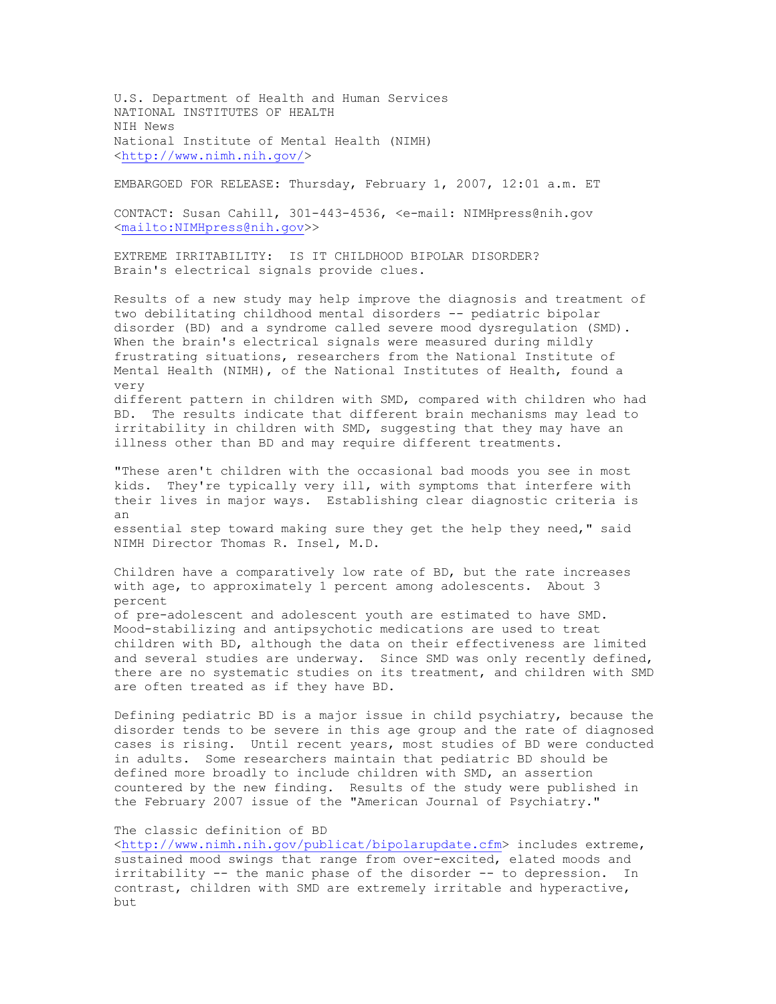U.S. Department of Health and Human Services NATIONAL INSTITUTES OF HEALTH NIH News National Institute of Mental Health (NIMH) [<http://www.nimh.nih.gov/](http://www.nimh.nih.gov/)>

EMBARGOED FOR RELEASE: Thursday, February 1, 2007, 12:01 a.m. ET

CONTACT: Susan Cahill, 3014434536, <email: NIMHpress@nih.gov [<mailto:NIMHpress@nih.gov](mailto:NIMHpress@nih.gov)>>

EXTREME IRRITABILITY: IS IT CHILDHOOD BIPOLAR DISORDER? Brain's electrical signals provide clues.

Results of a new study may help improve the diagnosis and treatment of two debilitating childhood mental disorders -- pediatric bipolar disorder (BD) and a syndrome called severe mood dysregulation (SMD). When the brain's electrical signals were measured during mildly frustrating situations, researchers from the National Institute of Mental Health (NIMH), of the National Institutes of Health, found a very different pattern in children with SMD, compared with children who had

BD. The results indicate that different brain mechanisms may lead to irritability in children with SMD, suggesting that they may have an illness other than BD and may require different treatments.

"These aren't children with the occasional bad moods you see in most kids. They're typically very ill, with symptoms that interfere with their lives in major ways. Establishing clear diagnostic criteria is an essential step toward making sure they get the help they need," said NIMH Director Thomas R. Insel, M.D.

Children have a comparatively low rate of BD, but the rate increases with age, to approximately 1 percent among adolescents. About 3 percent

of pre-adolescent and adolescent youth are estimated to have SMD. Mood-stabilizing and antipsychotic medications are used to treat children with BD, although the data on their effectiveness are limited and several studies are underway. Since SMD was only recently defined, there are no systematic studies on its treatment, and children with SMD are often treated as if they have BD.

Defining pediatric BD is a major issue in child psychiatry, because the disorder tends to be severe in this age group and the rate of diagnosed cases is rising. Until recent years, most studies of BD were conducted in adults. Some researchers maintain that pediatric BD should be defined more broadly to include children with SMD, an assertion countered by the new finding. Results of the study were published in the February 2007 issue of the "American Journal of Psychiatry."

## The classic definition of BD

[<http://www.nimh.nih.gov/publicat/bipolarupdate.cfm](http://www.nimh.nih.gov/publicat/bipolarupdate.cfm)> includes extreme, sustained mood swings that range from over-excited, elated moods and irritability  $-$  the manic phase of the disorder  $-$  to depression. In contrast, children with SMD are extremely irritable and hyperactive, but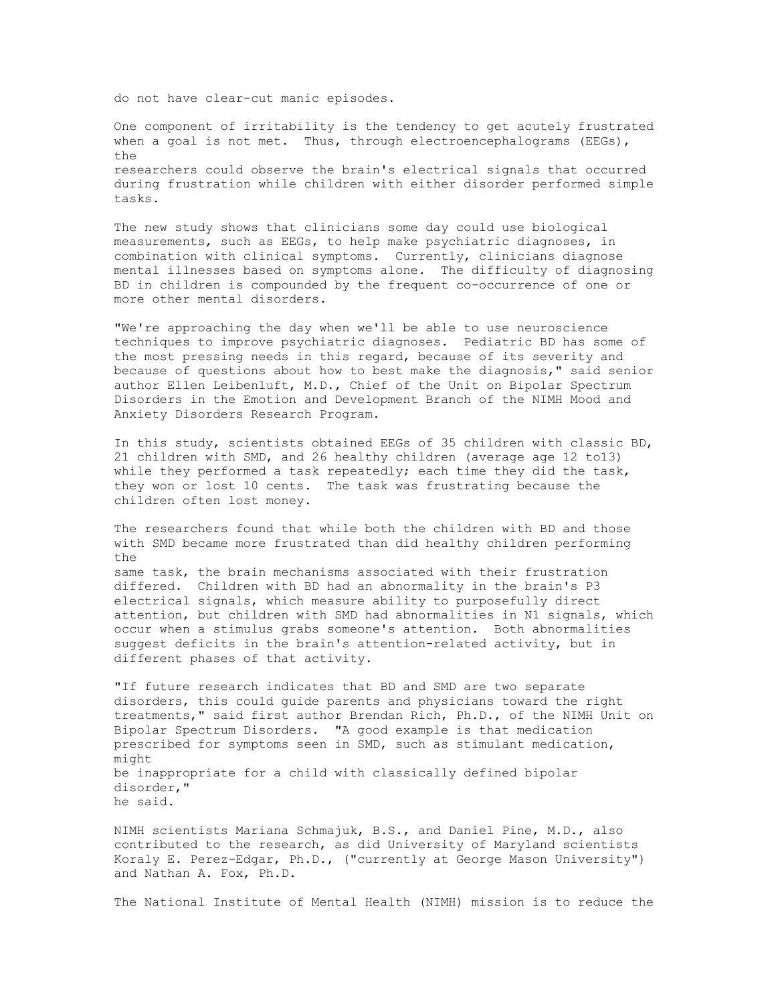do not have clear-cut manic episodes.

One component of irritability is the tendency to get acutely frustrated when a goal is not met. Thus, through electroencephalograms (EEGs), the researchers could observe the brain's electrical signals that occurred during frustration while children with either disorder performed simple tasks.

The new study shows that clinicians some day could use biological measurements, such as EEGs, to help make psychiatric diagnoses, in combination with clinical symptoms. Currently, clinicians diagnose mental illnesses based on symptoms alone. The difficulty of diagnosing BD in children is compounded by the frequent co-occurrence of one or more other mental disorders.

"We're approaching the day when we'll be able to use neuroscience techniques to improve psychiatric diagnoses. Pediatric BD has some of the most pressing needs in this regard, because of its severity and because of questions about how to best make the diagnosis," said senior author Ellen Leibenluft, M.D., Chief of the Unit on Bipolar Spectrum Disorders in the Emotion and Development Branch of the NIMH Mood and Anxiety Disorders Research Program.

In this study, scientists obtained EEGs of 35 children with classic BD, 21 children with SMD, and 26 healthy children (average age 12 to13) while they performed a task repeatedly; each time they did the task, they won or lost 10 cents. The task was frustrating because the children often lost money.

The researchers found that while both the children with BD and those with SMD became more frustrated than did healthy children performing  $th$ e

same task, the brain mechanisms associated with their frustration differed. Children with BD had an abnormality in the brain's P3 electrical signals, which measure ability to purposefully direct attention, but children with SMD had abnormalities in N1 signals, which occur when a stimulus grabs someone's attention. Both abnormalities suggest deficits in the brain's attention-related activity, but in different phases of that activity.

"If future research indicates that BD and SMD are two separate disorders, this could guide parents and physicians toward the right treatments," said first author Brendan Rich, Ph.D., of the NIMH Unit on Bipolar Spectrum Disorders. "A good example is that medication prescribed for symptoms seen in SMD, such as stimulant medication, might be inappropriate for a child with classically defined bipolar disorder," he said.

NIMH scientists Mariana Schmajuk, B.S., and Daniel Pine, M.D., also contributed to the research, as did University of Maryland scientists Koraly E. Perez-Edgar, Ph.D., ("currently at George Mason University") and Nathan A. Fox, Ph.D.

The National Institute of Mental Health (NIMH) mission is to reduce the